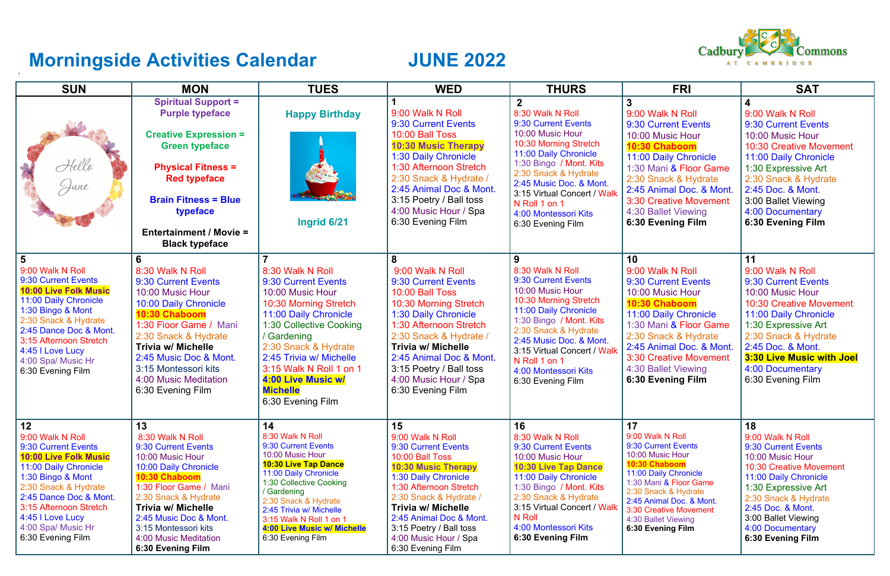## **Morningside Activities Calendar MORTH JUNE 2022**

| <b>SUN</b>                                                                                                                                                                                                                                                             | <b>MON</b>                                                                                                                                                                                                                                                                                 | <b>TUES</b>                                                                                                                                                                                                                                                                                                  | <b>WED</b>                                                                                                                                                                                                                                                                                                  | <b>THURS</b>                                                                                                                                                                                                                                                                                               | <b>FRI</b>                                                                                                                                                                                                                                                      | <b>SAT</b>                                                                                                                                                                                                                                                             |  |  |  |  |
|------------------------------------------------------------------------------------------------------------------------------------------------------------------------------------------------------------------------------------------------------------------------|--------------------------------------------------------------------------------------------------------------------------------------------------------------------------------------------------------------------------------------------------------------------------------------------|--------------------------------------------------------------------------------------------------------------------------------------------------------------------------------------------------------------------------------------------------------------------------------------------------------------|-------------------------------------------------------------------------------------------------------------------------------------------------------------------------------------------------------------------------------------------------------------------------------------------------------------|------------------------------------------------------------------------------------------------------------------------------------------------------------------------------------------------------------------------------------------------------------------------------------------------------------|-----------------------------------------------------------------------------------------------------------------------------------------------------------------------------------------------------------------------------------------------------------------|------------------------------------------------------------------------------------------------------------------------------------------------------------------------------------------------------------------------------------------------------------------------|--|--|--|--|
| Hello<br>June                                                                                                                                                                                                                                                          | <b>Spiritual Support =</b><br><b>Purple typeface</b><br><b>Creative Expression =</b><br><b>Green typeface</b><br><b>Physical Fitness =</b><br><b>Red typeface</b><br><b>Brain Fitness = Blue</b><br>typeface<br><b>Entertainment / Movie =</b><br><b>Black typeface</b>                    | <b>Happy Birthday</b><br>Ingrid 6/21                                                                                                                                                                                                                                                                         | 9:00 Walk N Roll<br>9:30 Current Events<br>10:00 Ball Toss<br><b>10:30 Music Therapy</b><br>1:30 Daily Chronicle<br>1:30 Afternoon Stretch<br>2:30 Snack & Hydrate /<br>2:45 Animal Doc & Mont.<br>3:15 Poetry / Ball toss<br>4:00 Music Hour / Spa<br>6:30 Evening Film                                    | $\overline{2}$<br>8:30 Walk N Roll<br>9:30 Current Events<br>10:00 Music Hour<br>10:30 Morning Stretch<br>11:00 Daily Chronicle<br>1:30 Bingo / Mont. Kits<br>2:30 Snack & Hydrate<br>2:45 Music Doc. & Mont.<br>3:15 Virtual Concert / Walk<br>N Roll 1 on 1<br>4:00 Montessori Kits<br>6:30 Evening Film | 3<br>9:00 Walk N Roll<br>9:30 Current Events<br>10:00 Music Hour<br>10:30 Chaboom<br>11:00 Daily Chronicle<br>1:30 Mani & Floor Game<br>2:30 Snack & Hydrate<br>2:45 Animal Doc. & Mont.<br>3:30 Creative Movement<br>4:30 Ballet Viewing<br>6:30 Evening Film  | 9:00 Walk N Roll<br>9:30 Current Events<br>10:00 Music Hour<br><b>10:30 Creative Movement</b><br>11:00 Daily Chronicle<br>1:30 Expressive Art<br>2:30 Snack & Hydrate<br>2:45 Doc. & Mont.<br>3:00 Ballet Viewing<br>4:00 Documentary<br>6:30 Evening Film             |  |  |  |  |
| 9:00 Walk N Roll<br>9:30 Current Events<br><b>10:00 Live Folk Music</b><br>11:00 Daily Chronicle<br>1:30 Bingo & Mont<br>2:30 Snack & Hydrate<br>2:45 Dance Doc & Mont.<br>3:15 Afternoon Stretch<br>4:45 I Love Lucy<br>4:00 Spa/ Music Hr<br>6:30 Evening Film       | 6<br>8:30 Walk N Roll<br>9:30 Current Events<br>10:00 Music Hour<br>10:00 Daily Chronicle<br>10:30 Chaboom<br>1:30 Floor Game / Mani<br>2:30 Snack & Hydrate<br><b>Trivia w/ Michelle</b><br>2:45 Music Doc & Mont.<br>3:15 Montessori kits<br>4:00 Music Meditation<br>6:30 Evening Film  | 8:30 Walk N Roll<br>9:30 Current Events<br>10:00 Music Hour<br>10:30 Morning Stretch<br>11:00 Daily Chronicle<br>1:30 Collective Cooking<br>/ Gardening<br>2:30 Snack & Hydrate<br>2:45 Trivia w/ Michelle<br>3:15 Walk N Roll 1 on 1<br>4:00 Live Music w/<br><b>Michelle</b><br>6:30 Evening Film          | 9:00 Walk N Roll<br>9:30 Current Events<br>10:00 Ball Toss<br>10:30 Morning Stretch<br>1:30 Daily Chronicle<br>1:30 Afternoon Stretch<br>2:30 Snack & Hydrate /<br>Trivia w/ Michelle<br>2:45 Animal Doc & Mont.<br>3:15 Poetry / Ball toss<br>4:00 Music Hour / Spa<br>6:30 Evening Film                   | 9<br>8:30 Walk N Roll<br>9:30 Current Events<br>10:00 Music Hour<br>10:30 Morning Stretch<br>11:00 Daily Chronicle<br>1:30 Bingo / Mont. Kits<br>2:30 Snack & Hydrate<br>2:45 Music Doc. & Mont.<br>3:15 Virtual Concert / Walk<br>N Roll 1 on 1<br>4:00 Montessori Kits<br>6:30 Evening Film              | 10<br>9:00 Walk N Roll<br>9:30 Current Events<br>10:00 Music Hour<br>10:30 Chaboom<br>11:00 Daily Chronicle<br>1:30 Mani & Floor Game<br>2:30 Snack & Hydrate<br>2:45 Animal Doc. & Mont.<br>3:30 Creative Movement<br>4:30 Ballet Viewing<br>6:30 Evening Film | 11<br>9:00 Walk N Roll<br>9:30 Current Events<br>10:00 Music Hour<br><b>10:30 Creative Movement</b><br>11:00 Daily Chronicle<br>1:30 Expressive Art<br>2:30 Snack & Hydrate<br>2:45 Doc. & Mont.<br>3:30 Live Music with Joel<br>4:00 Documentary<br>6:30 Evening Film |  |  |  |  |
| 12<br>9:00 Walk N Roll<br>9:30 Current Events<br><b>10:00 Live Folk Music</b><br>11:00 Daily Chronicle<br>1:30 Bingo & Mont<br>2:30 Snack & Hydrate<br>2:45 Dance Doc & Mont.<br>3:15 Afternoon Stretch<br>4:45   Love Lucy<br>4:00 Spa/ Music Hr<br>6:30 Evening Film | 13<br>8:30 Walk N Roll<br>9:30 Current Events<br>10:00 Music Hour<br>10:00 Daily Chronicle<br>10:30 Chaboom<br>1:30 Floor Game / Mani<br>2:30 Snack & Hydrate<br><b>Trivia w/ Michelle</b><br>2:45 Music Doc & Mont.<br>3:15 Montessori kits<br>4:00 Music Meditation<br>6:30 Evening Film | 14<br>8:30 Walk N Roll<br>9:30 Current Events<br>10:00 Music Hour<br><b>10:30 Live Tap Dance</b><br>11:00 Daily Chronicle<br>1:30 Collective Cooking<br>/ Gardening<br>2:30 Snack & Hydrate<br>2:45 Trivia w/ Michelle<br>3:15 Walk N Roll 1 on 1<br><b>4:00 Live Music w/ Michelle</b><br>6:30 Evening Film | 15<br>9:00 Walk N Roll<br>9:30 Current Events<br>10:00 Ball Toss<br><b>10:30 Music Therapy</b><br>1:30 Daily Chronicle<br>1:30 Afternoon Stretch<br>2:30 Snack & Hydrate /<br><b>Trivia w/ Michelle</b><br>2:45 Animal Doc & Mont.<br>3:15 Poetry / Ball toss<br>4:00 Music Hour / Spa<br>6:30 Evening Film | 16<br>8:30 Walk N Roll<br>9:30 Current Events<br>10:00 Music Hour<br><b>10:30 Live Tap Dance</b><br>11:00 Daily Chronicle<br>1:30 Bingo / Mont. Kits<br>2:30 Snack & Hydrate<br>3:15 Virtual Concert / Walk<br>N Roll<br>4:00 Montessori Kits<br>6:30 Evening Film                                         | 17<br>9:00 Walk N Roll<br>9:30 Current Events<br>10:00 Music Hour<br>10:30 Chaboom<br>11:00 Daily Chronicle<br>1:30 Mani & Floor Game<br>2:30 Snack & Hydrate<br>2:45 Animal Doc. & Mont.<br>3:30 Creative Movement<br>4:30 Ballet Viewing<br>6:30 Evening Film | 18<br>9:00 Walk N Roll<br>9:30 Current Events<br>10:00 Music Hour<br>10:30 Creative Movement<br>11:00 Daily Chronicle<br>1:30 Expressive Art<br>2:30 Snack & Hydrate<br>2:45 Doc. & Mont.<br>3:00 Ballet Viewing<br>4:00 Documentary<br>6:30 Evening Film              |  |  |  |  |